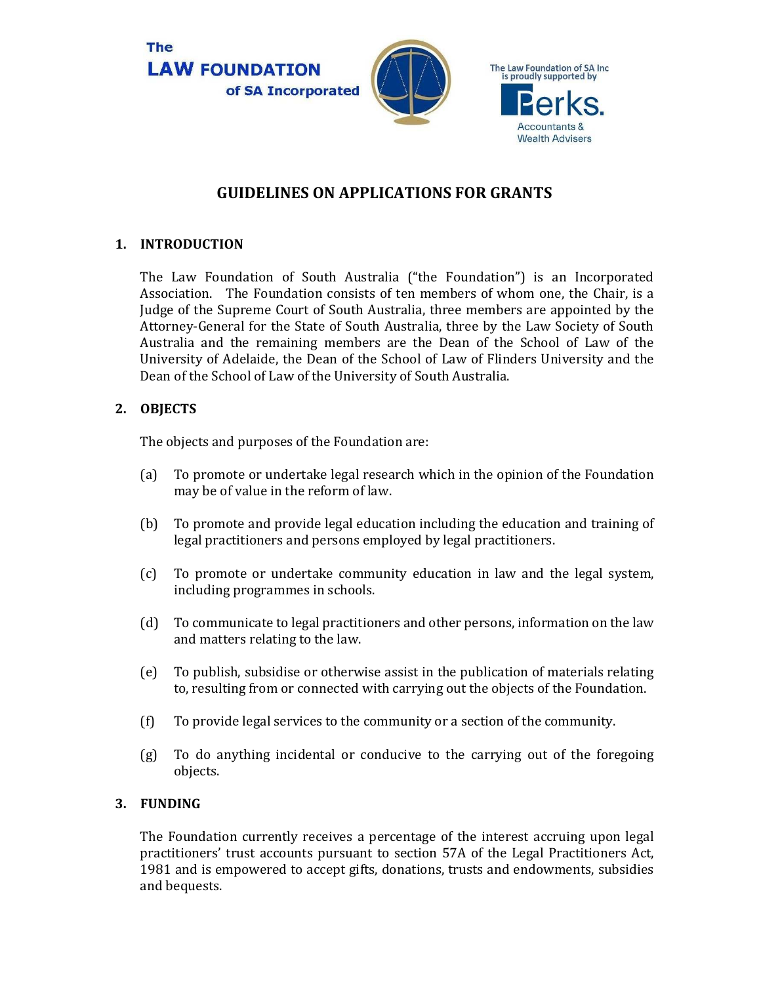

# **GUIDELINES ON APPLICATIONS FOR GRANTS**

### **1. INTRODUCTION**

The Law Foundation of South Australia ("the Foundation") is an Incorporated Association. The Foundation consists of ten members of whom one, the Chair, is a Judge of the Supreme Court of South Australia, three members are appointed by the Attorney-General for the State of South Australia, three by the Law Society of South Australia and the remaining members are the Dean of the School of Law of the University of Adelaide, the Dean of the School of Law of Flinders University and the Dean of the School of Law of the University of South Australia.

## **2. OBJECTS**

The objects and purposes of the Foundation are:

- (a) To promote or undertake legal research which in the opinion of the Foundation may be of value in the reform of law.
- (b) To promote and provide legal education including the education and training of legal practitioners and persons employed by legal practitioners.
- (c) To promote or undertake community education in law and the legal system, including programmes in schools.
- (d) To communicate to legal practitioners and other persons, information on the law and matters relating to the law.
- (e) To publish, subsidise or otherwise assist in the publication of materials relating to, resulting from or connected with carrying out the objects of the Foundation.
- (f) To provide legal services to the community or a section of the community.
- (g) To do anything incidental or conducive to the carrying out of the foregoing objects.

#### **3. FUNDING**

The Foundation currently receives a percentage of the interest accruing upon legal practitioners' trust accounts pursuant to section 57A of the Legal Practitioners Act, 1981 and is empowered to accept gifts, donations, trusts and endowments, subsidies and bequests.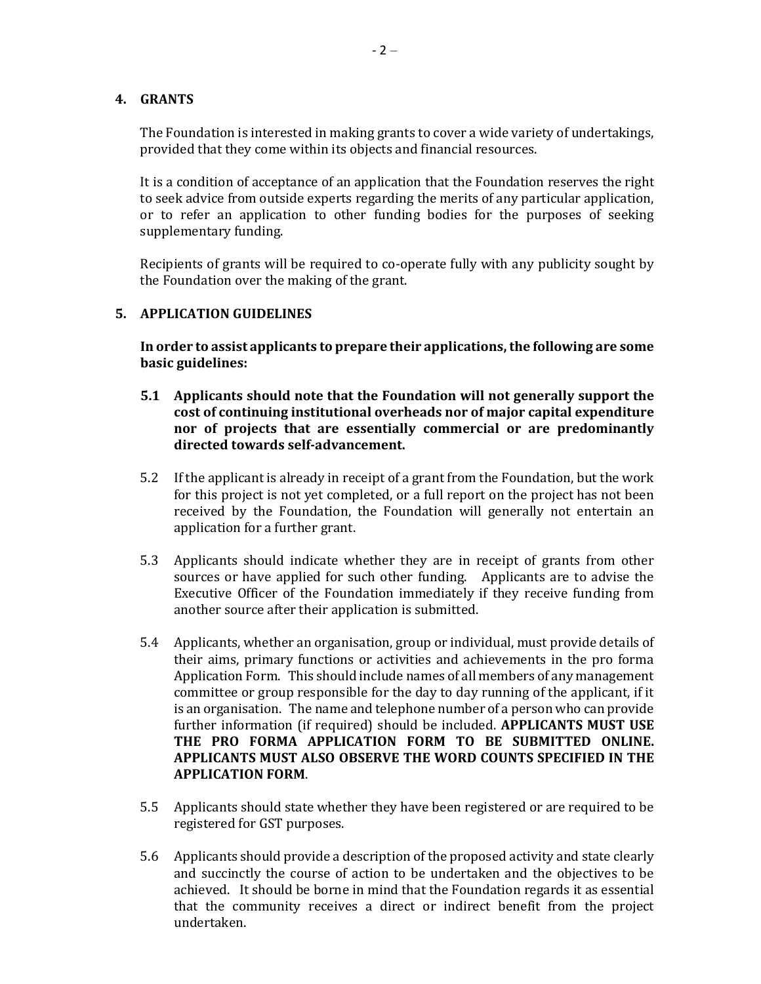#### **4. GRANTS**

The Foundation is interested in making grants to cover a wide variety of undertakings, provided that they come within its objects and financial resources.

It is a condition of acceptance of an application that the Foundation reserves the right to seek advice from outside experts regarding the merits of any particular application, or to refer an application to other funding bodies for the purposes of seeking supplementary funding.

Recipients of grants will be required to co-operate fully with any publicity sought by the Foundation over the making of the grant.

#### **5. APPLICATION GUIDELINES**

**In order to assist applicants to prepare their applications, the following are some basic guidelines:** 

- **5.1 Applicants should note that the Foundation will not generally support the cost of continuing institutional overheads nor of major capital expenditure nor of projects that are essentially commercial or are predominantly directed towards self-advancement.**
- 5.2 If the applicant is already in receipt of a grant from the Foundation, but the work for this project is not yet completed, or a full report on the project has not been received by the Foundation, the Foundation will generally not entertain an application for a further grant.
- 5.3 Applicants should indicate whether they are in receipt of grants from other sources or have applied for such other funding. Applicants are to advise the Executive Officer of the Foundation immediately if they receive funding from another source after their application is submitted.
- 5.4 Applicants, whether an organisation, group or individual, must provide details of their aims, primary functions or activities and achievements in the pro forma Application Form. This should include names of all members of any management committee or group responsible for the day to day running of the applicant, if it is an organisation. The name and telephone number of a person who can provide further information (if required) should be included. **APPLICANTS MUST USE THE PRO FORMA APPLICATION FORM TO BE SUBMITTED ONLINE. APPLICANTS MUST ALSO OBSERVE THE WORD COUNTS SPECIFIED IN THE APPLICATION FORM**.
- 5.5 Applicants should state whether they have been registered or are required to be registered for GST purposes.
- 5.6 Applicants should provide a description of the proposed activity and state clearly and succinctly the course of action to be undertaken and the objectives to be achieved. It should be borne in mind that the Foundation regards it as essential that the community receives a direct or indirect benefit from the project undertaken.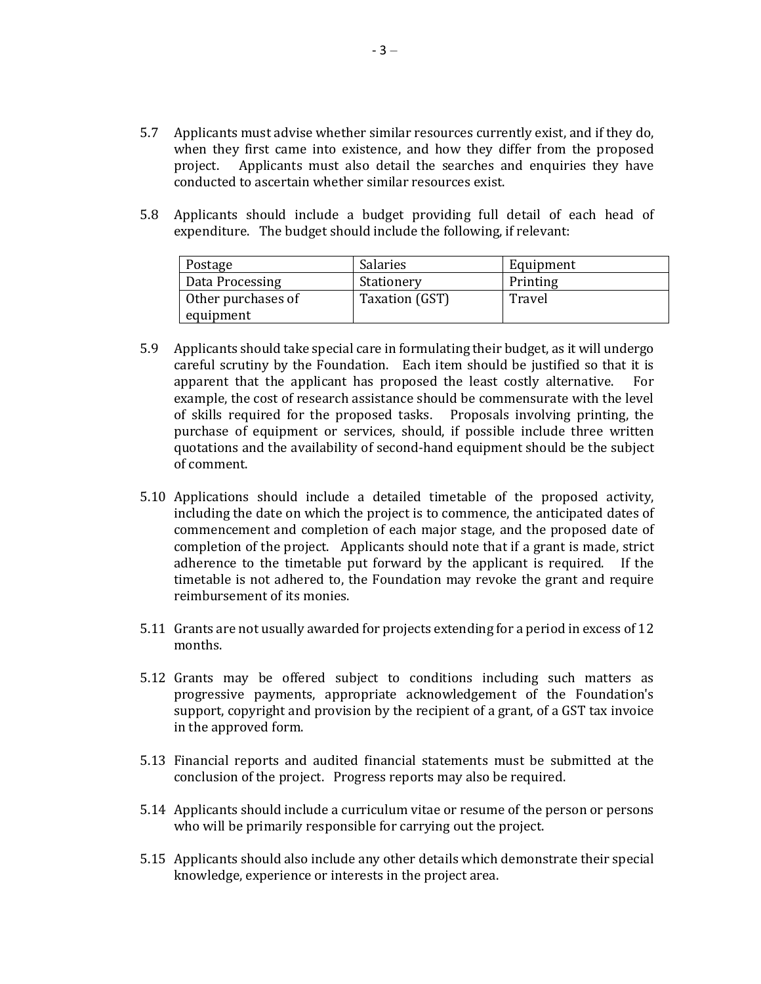- 5.7 Applicants must advise whether similar resources currently exist, and if they do, when they first came into existence, and how they differ from the proposed project. Applicants must also detail the searches and enquiries they have conducted to ascertain whether similar resources exist.
- 5.8 Applicants should include a budget providing full detail of each head of expenditure. The budget should include the following, if relevant:

| Postage            | Salaries       | Equipment |
|--------------------|----------------|-----------|
| Data Processing    | Stationery     | Printing  |
| Other purchases of | Taxation (GST) | Travel    |
| equipment          |                |           |

- 5.9 Applicants should take special care in formulating their budget, as it will undergo careful scrutiny by the Foundation. Each item should be justified so that it is apparent that the applicant has proposed the least costly alternative. For example, the cost of research assistance should be commensurate with the level of skills required for the proposed tasks. Proposals involving printing, the purchase of equipment or services, should, if possible include three written quotations and the availability of second-hand equipment should be the subject of comment.
- 5.10 Applications should include a detailed timetable of the proposed activity, including the date on which the project is to commence, the anticipated dates of commencement and completion of each major stage, and the proposed date of completion of the project. Applicants should note that if a grant is made, strict adherence to the timetable put forward by the applicant is required. If the timetable is not adhered to, the Foundation may revoke the grant and require reimbursement of its monies.
- 5.11 Grants are not usually awarded for projects extending for a period in excess of 12 months.
- 5.12 Grants may be offered subject to conditions including such matters as progressive payments, appropriate acknowledgement of the Foundation's support, copyright and provision by the recipient of a grant, of a GST tax invoice in the approved form.
- 5.13 Financial reports and audited financial statements must be submitted at the conclusion of the project. Progress reports may also be required.
- 5.14 Applicants should include a curriculum vitae or resume of the person or persons who will be primarily responsible for carrying out the project.
- 5.15 Applicants should also include any other details which demonstrate their special knowledge, experience or interests in the project area.